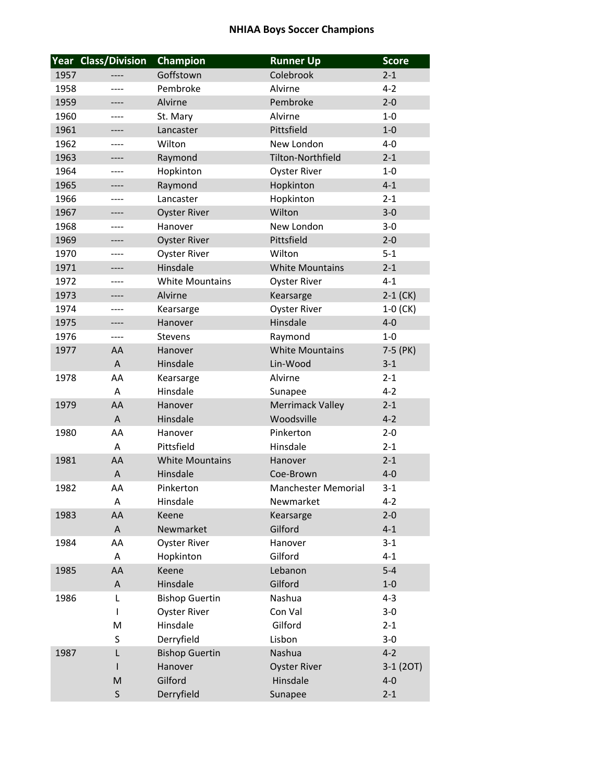|      | <b>Year Class/Division</b> | Champion               | <b>Runner Up</b>           | <b>Score</b> |
|------|----------------------------|------------------------|----------------------------|--------------|
| 1957 | ----                       | Goffstown              | Colebrook                  | $2 - 1$      |
| 1958 | ----                       | Pembroke               | Alvirne                    | $4 - 2$      |
| 1959 | ----                       | Alvirne                | Pembroke                   | $2 - 0$      |
| 1960 | ----                       | St. Mary               | Alvirne                    | $1 - 0$      |
| 1961 | ----                       | Lancaster              | Pittsfield                 | $1 - 0$      |
| 1962 | ----                       | Wilton                 | New London                 | $4 - 0$      |
| 1963 | ----                       | Raymond                | <b>Tilton-Northfield</b>   | $2 - 1$      |
| 1964 | ----                       | Hopkinton              | <b>Oyster River</b>        | $1 - 0$      |
| 1965 | ----                       | Raymond                | Hopkinton                  | $4 - 1$      |
| 1966 | ----                       | Lancaster              | Hopkinton                  | $2 - 1$      |
| 1967 | ----                       | <b>Oyster River</b>    | Wilton                     | $3 - 0$      |
| 1968 | ----                       | Hanover                | New London                 | $3 - 0$      |
| 1969 | ----                       | <b>Oyster River</b>    | Pittsfield                 | $2 - 0$      |
| 1970 |                            | <b>Oyster River</b>    | Wilton                     | $5 - 1$      |
| 1971 | ----                       | Hinsdale               | <b>White Mountains</b>     | $2 - 1$      |
| 1972 | ----                       | <b>White Mountains</b> | <b>Oyster River</b>        | $4 - 1$      |
| 1973 | ----                       | Alvirne                | Kearsarge                  | $2-1$ (CK)   |
| 1974 | ----                       | Kearsarge              | <b>Oyster River</b>        | $1-0$ (CK)   |
| 1975 | ----                       | Hanover                | Hinsdale                   | $4 - 0$      |
| 1976 | ----                       | Stevens                | Raymond                    | $1 - 0$      |
| 1977 | AA                         | Hanover                | <b>White Mountains</b>     | 7-5 (PK)     |
|      | $\mathsf{A}$               | Hinsdale               | Lin-Wood                   | $3 - 1$      |
| 1978 | AA                         | Kearsarge              | Alvirne                    | $2 - 1$      |
|      | A                          | Hinsdale               | Sunapee                    | $4 - 2$      |
| 1979 | AA                         | Hanover                | <b>Merrimack Valley</b>    | $2 - 1$      |
|      | $\overline{A}$             | Hinsdale               | Woodsville                 | $4 - 2$      |
| 1980 | AA                         | Hanover                | Pinkerton                  | $2 - 0$      |
|      | A                          | Pittsfield             | Hinsdale                   | $2 - 1$      |
| 1981 | AA                         | <b>White Mountains</b> | Hanover                    | $2 - 1$      |
|      | A                          | Hinsdale               | Coe-Brown                  | $4 - 0$      |
| 1982 | AA                         | Pinkerton              | <b>Manchester Memorial</b> | $3 - 1$      |
|      | Α                          | Hinsdale               | Newmarket                  | $4 - 2$      |
| 1983 | AA                         | Keene                  | Kearsarge                  | $2 - 0$      |
|      | $\mathsf{A}$               | Newmarket              | Gilford                    | $4 - 1$      |
| 1984 | AA                         | <b>Oyster River</b>    | Hanover                    | $3 - 1$      |
|      | A                          | Hopkinton              | Gilford                    | $4 - 1$      |
| 1985 | AA                         | Keene                  | Lebanon                    | $5 - 4$      |
|      | A                          | Hinsdale               | Gilford                    | $1-0$        |
| 1986 | L                          | <b>Bishop Guertin</b>  | Nashua                     | $4 - 3$      |
|      | T                          | <b>Oyster River</b>    | Con Val                    | $3 - 0$      |
|      | M                          | Hinsdale               | Gilford                    | $2 - 1$      |
|      | S                          | Derryfield             | Lisbon                     | $3-0$        |
| 1987 | L                          | <b>Bishop Guertin</b>  | Nashua                     | $4 - 2$      |
|      | ı                          | Hanover                | <b>Oyster River</b>        | 3-1 (2OT)    |
|      | M                          | Gilford                | Hinsdale                   | $4 - 0$      |
|      | $\sf S$                    | Derryfield             | Sunapee                    | $2 - 1$      |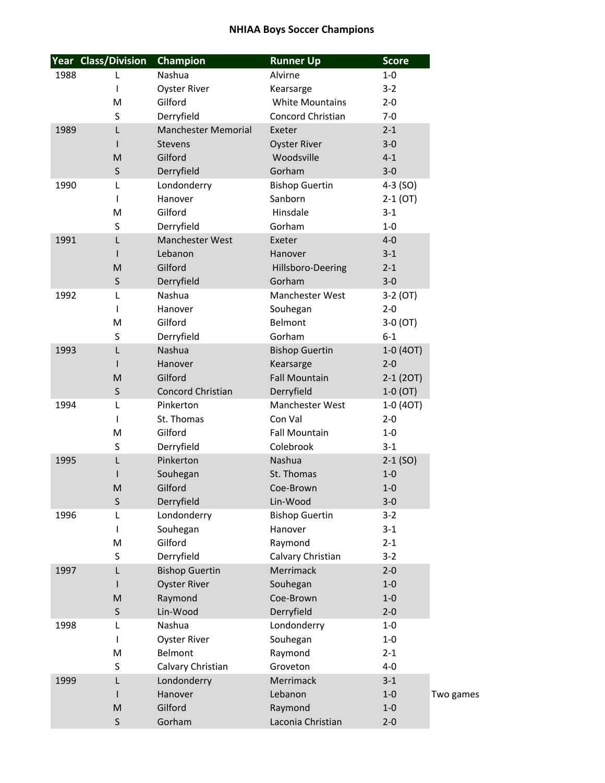|      | <b>Year Class/Division</b> | Champion                   | <b>Runner Up</b>         | <b>Score</b> |
|------|----------------------------|----------------------------|--------------------------|--------------|
| 1988 | L                          | Nashua                     | Alvirne                  | $1 - 0$      |
|      | T                          | <b>Oyster River</b>        | Kearsarge                | $3 - 2$      |
|      | M                          | Gilford                    | <b>White Mountains</b>   | $2 - 0$      |
|      | S                          | Derryfield                 | <b>Concord Christian</b> | $7-0$        |
| 1989 | L                          | <b>Manchester Memorial</b> | Exeter                   | $2 - 1$      |
|      |                            | <b>Stevens</b>             | <b>Oyster River</b>      | $3 - 0$      |
|      | M                          | Gilford                    | Woodsville               | $4 - 1$      |
|      | $\mathsf{S}$               | Derryfield                 | Gorham                   | $3 - 0$      |
| 1990 | L                          | Londonderry                | <b>Bishop Guertin</b>    | $4-3$ (SO)   |
|      | T                          | Hanover                    | Sanborn                  | $2-1$ (OT)   |
|      | M                          | Gilford                    | Hinsdale                 | $3 - 1$      |
|      | S                          | Derryfield                 | Gorham                   | $1-0$        |
| 1991 | L                          | Manchester West            | Exeter                   | $4 - 0$      |
|      |                            | Lebanon                    | Hanover                  | $3 - 1$      |
|      | M                          | Gilford                    | Hillsboro-Deering        | $2 - 1$      |
|      | S                          | Derryfield                 | Gorham                   | $3 - 0$      |
| 1992 | L                          | Nashua                     | Manchester West          | $3-2(0T)$    |
|      | т                          | Hanover                    | Souhegan                 | $2 - 0$      |
|      | M                          | Gilford                    | Belmont                  | $3-0(0T)$    |
|      | S                          | Derryfield                 | Gorham                   | $6 - 1$      |
| 1993 | L                          | Nashua                     | <b>Bishop Guertin</b>    | $1-0(4OT)$   |
|      |                            | Hanover                    | Kearsarge                | $2 - 0$      |
|      | M                          | Gilford                    | <b>Fall Mountain</b>     | $2-1(2OT)$   |
|      | $\mathsf S$                | Concord Christian          | Derryfield               | $1-0$ (OT)   |
| 1994 | L                          | Pinkerton                  | Manchester West          | 1-0 (4OT)    |
|      | T                          | St. Thomas                 | Con Val                  | $2 - 0$      |
|      | M                          | Gilford                    | <b>Fall Mountain</b>     | $1 - 0$      |
|      | S                          | Derryfield                 | Colebrook                | $3 - 1$      |
| 1995 | L                          | Pinkerton                  | Nashua                   | $2-1$ (SO)   |
|      |                            | Souhegan                   | St. Thomas               | $1 - 0$      |
|      | M                          | Gilford                    | Coe-Brown                | $1 - 0$      |
|      | S                          | Derryfield                 | Lin-Wood                 | $3-0$        |
| 1996 | L                          | Londonderry                | <b>Bishop Guertin</b>    | $3 - 2$      |
|      | T                          | Souhegan                   | Hanover                  | $3 - 1$      |
|      | M                          | Gilford                    | Raymond                  | $2 - 1$      |
|      | S                          | Derryfield                 | Calvary Christian        | $3 - 2$      |
| 1997 | L                          | <b>Bishop Guertin</b>      | Merrimack                | $2 - 0$      |
|      |                            | <b>Oyster River</b>        | Souhegan                 | $1 - 0$      |
|      | M                          | Raymond                    | Coe-Brown                | $1 - 0$      |
|      | $\mathsf S$                | Lin-Wood                   | Derryfield               | $2 - 0$      |
| 1998 | L                          | Nashua                     | Londonderry              | $1-0$        |
|      | L                          | <b>Oyster River</b>        | Souhegan                 | $1-0$        |
|      | M                          | Belmont                    | Raymond                  | $2 - 1$      |
|      | S                          | Calvary Christian          | Groveton                 | $4 - 0$      |
| 1999 | L                          | Londonderry                | Merrimack                | $3 - 1$      |
|      |                            | Hanover                    | Lebanon                  | $1-0$        |
|      | M                          | Gilford                    | Raymond                  | $1 - 0$      |
|      | $\mathsf S$                | Gorham                     | Laconia Christian        | $2 - 0$      |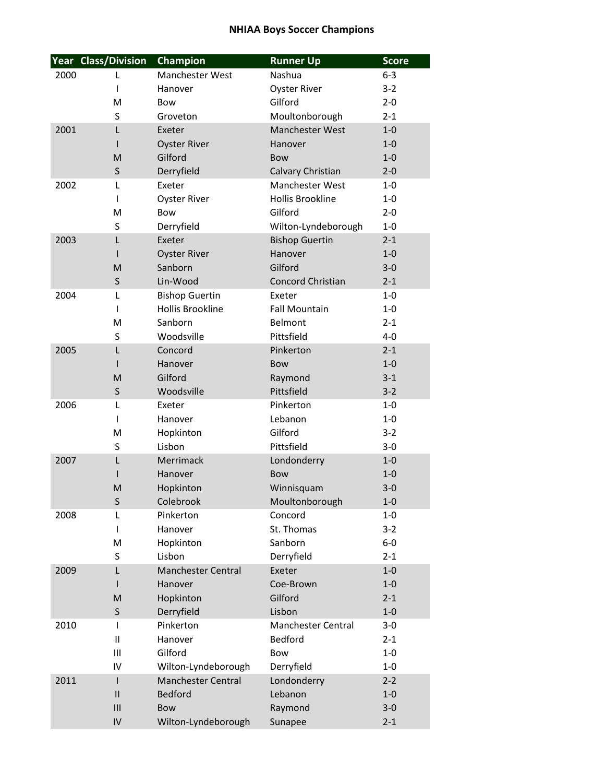|      | <b>Year Class/Division</b> | Champion                  | <b>Runner Up</b>          | <b>Score</b> |
|------|----------------------------|---------------------------|---------------------------|--------------|
| 2000 | L                          | <b>Manchester West</b>    | Nashua                    | $6 - 3$      |
|      | I                          | Hanover                   | <b>Oyster River</b>       | $3 - 2$      |
|      | M                          | <b>Bow</b>                | Gilford                   | $2 - 0$      |
|      | S                          | Groveton                  | Moultonborough            | $2 - 1$      |
| 2001 | L                          | Exeter                    | Manchester West           | $1 - 0$      |
|      | I                          | <b>Oyster River</b>       | Hanover                   | $1 - 0$      |
|      | M                          | Gilford                   | <b>Bow</b>                | $1 - 0$      |
|      | $\sf S$                    | Derryfield                | Calvary Christian         | $2 - 0$      |
| 2002 | L                          | Exeter                    | Manchester West           | $1 - 0$      |
|      | ı                          | <b>Oyster River</b>       | <b>Hollis Brookline</b>   | $1 - 0$      |
|      | M                          | <b>Bow</b>                | Gilford                   | $2 - 0$      |
|      | S                          | Derryfield                | Wilton-Lyndeborough       | $1 - 0$      |
| 2003 | L                          | Exeter                    | <b>Bishop Guertin</b>     | $2 - 1$      |
|      | ı                          | <b>Oyster River</b>       | Hanover                   | $1 - 0$      |
|      | M                          | Sanborn                   | Gilford                   | $3 - 0$      |
|      | $\sf S$                    | Lin-Wood                  | Concord Christian         | $2 - 1$      |
| 2004 | L                          | <b>Bishop Guertin</b>     | Exeter                    | $1 - 0$      |
|      | ı                          | <b>Hollis Brookline</b>   | <b>Fall Mountain</b>      | $1 - 0$      |
|      | M                          | Sanborn                   | Belmont                   | $2 - 1$      |
|      | S                          | Woodsville                | Pittsfield                | $4 - 0$      |
| 2005 | L                          | Concord                   | Pinkerton                 | $2 - 1$      |
|      | ı                          | Hanover                   | <b>Bow</b>                | $1 - 0$      |
|      | M                          | Gilford                   | Raymond                   | $3 - 1$      |
|      | $\sf S$                    | Woodsville                | Pittsfield                | $3 - 2$      |
| 2006 | L                          | Exeter                    | Pinkerton                 | $1 - 0$      |
|      | ı                          | Hanover                   | Lebanon                   | $1 - 0$      |
|      | M                          | Hopkinton                 | Gilford                   | $3 - 2$      |
|      | S                          | Lisbon                    | Pittsfield                | $3 - 0$      |
| 2007 | L                          | Merrimack                 | Londonderry               | $1 - 0$      |
|      |                            | Hanover                   | <b>Bow</b>                | $1 - 0$      |
|      | M                          | Hopkinton                 | Winnisquam                | $3 - 0$      |
|      | S                          | Colebrook                 | Moultonborough            | $1 - 0$      |
| 2008 | L                          | Pinkerton                 | Concord                   | $1 - 0$      |
|      | I                          | Hanover                   | St. Thomas                | $3-2$        |
|      | M                          | Hopkinton                 | Sanborn                   | $6-0$        |
|      | S                          | Lisbon                    | Derryfield                | $2 - 1$      |
| 2009 | L                          | <b>Manchester Central</b> | Exeter                    | $1 - 0$      |
|      | ı                          | Hanover                   | Coe-Brown                 | $1 - 0$      |
|      | M                          | Hopkinton                 | Gilford                   | $2 - 1$      |
|      | $\sf S$                    | Derryfield                | Lisbon                    | $1 - 0$      |
| 2010 | L                          | Pinkerton                 | <b>Manchester Central</b> | $3 - 0$      |
|      | $\mathsf{II}$              | Hanover                   | Bedford                   | $2 - 1$      |
|      | Ш                          | Gilford                   | Bow                       | $1 - 0$      |
|      | IV                         | Wilton-Lyndeborough       | Derryfield                | $1 - 0$      |
| 2011 | $\mathsf{I}$               | <b>Manchester Central</b> | Londonderry               | $2 - 2$      |
|      | $\mathsf{II}$              | <b>Bedford</b>            | Lebanon                   | $1 - 0$      |
|      | III                        | Bow                       | Raymond                   | $3 - 0$      |
|      | IV                         | Wilton-Lyndeborough       | Sunapee                   | $2 - 1$      |